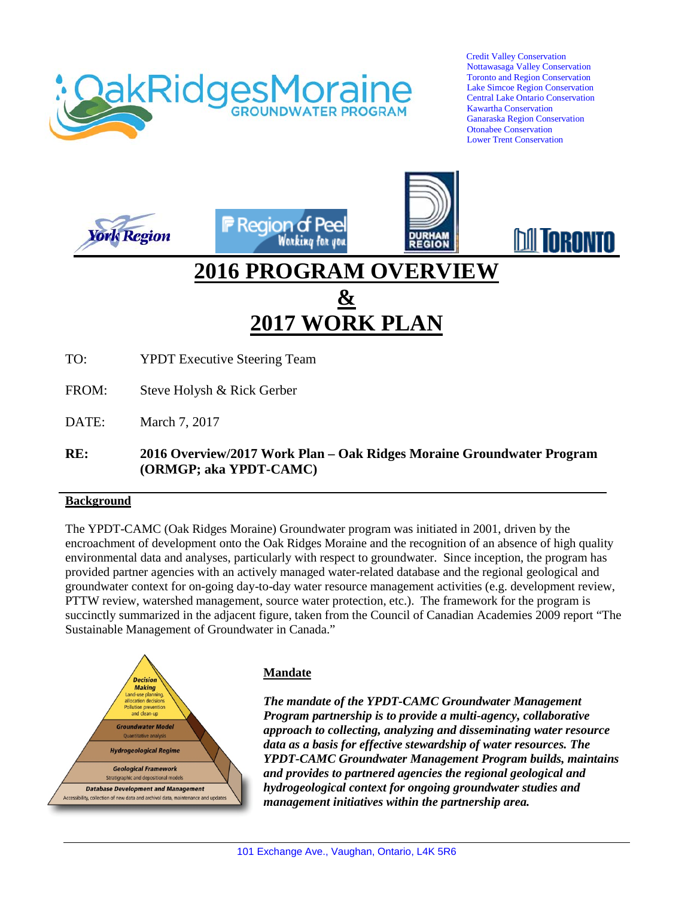

 Credit Valley Conservation Nottawasaga Valley Conservation Toronto and Region Conservation Lake Simcoe Region Conservation Central Lake Ontario Conservation Kawartha Conservation Ganaraska Region Conservation Otonabee Conservation Lower Trent Conservation

Inii **Inranta** 





# **2016 PROGRAM OVERVIEW & 2017 WORK PLAN**

TO: YPDT Executive Steering Team

- FROM: Steve Holysh & Rick Gerber
- DATE: March 7, 2017
- **RE: 2016 Overview/2017 Work Plan – Oak Ridges Moraine Groundwater Program (ORMGP; aka YPDT-CAMC)**

#### **Background**

The YPDT-CAMC (Oak Ridges Moraine) Groundwater program was initiated in 2001, driven by the encroachment of development onto the Oak Ridges Moraine and the recognition of an absence of high quality environmental data and analyses, particularly with respect to groundwater. Since inception, the program has provided partner agencies with an actively managed water-related database and the regional geological and groundwater context for on-going day-to-day water resource management activities (e.g. development review, PTTW review, watershed management, source water protection, etc.). The framework for the program is succinctly summarized in the adjacent figure, taken from the Council of Canadian Academies 2009 report "The Sustainable Management of Groundwater in Canada."



#### **Mandate**

*The mandate of the YPDT-CAMC Groundwater Management Program partnership is to provide a multi-agency, collaborative approach to collecting, analyzing and disseminating water resource data as a basis for effective stewardship of water resources. The YPDT-CAMC Groundwater Management Program builds, maintains and provides to partnered agencies the regional geological and hydrogeological context for ongoing groundwater studies and management initiatives within the partnership area.*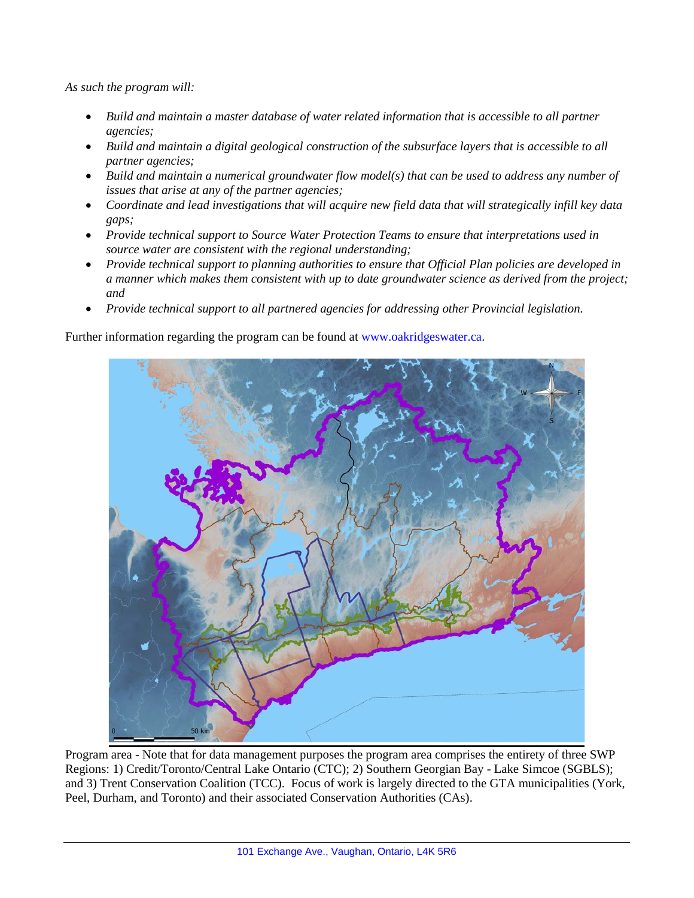*As such the program will:* 

- *Build and maintain a master database of water related information that is accessible to all partner agencies;*
- *Build and maintain a digital geological construction of the subsurface layers that is accessible to all partner agencies;*
- *Build and maintain a numerical groundwater flow model(s) that can be used to address any number of issues that arise at any of the partner agencies;*
- *Coordinate and lead investigations that will acquire new field data that will strategically infill key data gaps;*
- *Provide technical support to Source Water Protection Teams to ensure that interpretations used in source water are consistent with the regional understanding;*
- *Provide technical support to planning authorities to ensure that Official Plan policies are developed in a manner which makes them consistent with up to date groundwater science as derived from the project; and*
- *Provide technical support to all partnered agencies for addressing other Provincial legislation.*

Further information regarding the program can be found at www.oakridgeswater.ca.



Program area - Note that for data management purposes the program area comprises the entirety of three SWP Regions: 1) Credit/Toronto/Central Lake Ontario (CTC); 2) Southern Georgian Bay - Lake Simcoe (SGBLS); and 3) Trent Conservation Coalition (TCC). Focus of work is largely directed to the GTA municipalities (York, Peel, Durham, and Toronto) and their associated Conservation Authorities (CAs).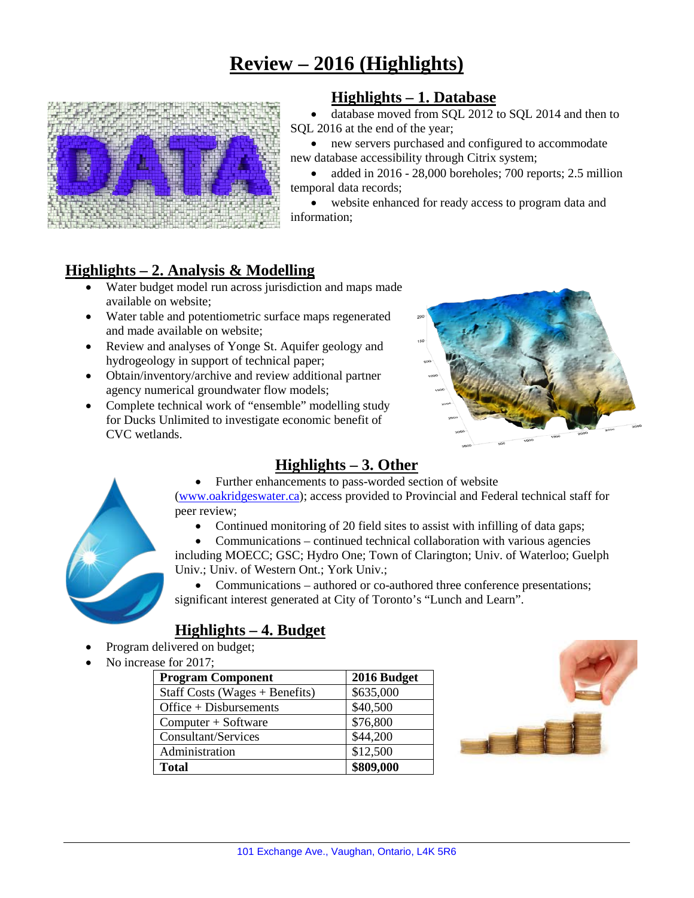# **Review – 2016 (Highlights)**



# **Highlights – 1. Database**

• database moved from SQL 2012 to SQL 2014 and then to SQL 2016 at the end of the year;

• new servers purchased and configured to accommodate new database accessibility through Citrix system;

• added in 2016 - 28,000 boreholes; 700 reports; 2.5 million temporal data records;

website enhanced for ready access to program data and information;

# **Highlights – 2. Analysis & Modelling**

- Water budget model run across jurisdiction and maps made available on website;
- Water table and potentiometric surface maps regenerated and made available on website;
- Review and analyses of Yonge St. Aquifer geology and hydrogeology in support of technical paper;
- Obtain/inventory/archive and review additional partner agency numerical groundwater flow models;
- Complete technical work of "ensemble" modelling study for Ducks Unlimited to investigate economic benefit of CVC wetlands.



# **Highlights – 3. Other**

• Further enhancements to pass-worded section of website [\(www.oakridgeswater.ca\)](http://www.oakridgeswater.ca/); access provided to Provincial and Federal technical staff for peer review;

• Continued monitoring of 20 field sites to assist with infilling of data gaps;

• Communications – continued technical collaboration with various agencies including MOECC; GSC; Hydro One; Town of Clarington; Univ. of Waterloo; Guelph Univ.; Univ. of Western Ont.; York Univ.;

• Communications – authored or co-authored three conference presentations; significant interest generated at City of Toronto's "Lunch and Learn".

# **Highlights – 4. Budget**

- Program delivered on budget;
- No increase for 2017·

| <b>Program Component</b>         | 2016 Budget |
|----------------------------------|-------------|
| Staff Costs (Wages $+$ Benefits) | \$635,000   |
| $Office + Disbursements$         | \$40,500    |
| Computer + Software              | \$76,800    |
| Consultant/Services              | \$44,200    |
| Administration                   | \$12,500    |
| <b>Total</b>                     | \$809,000   |



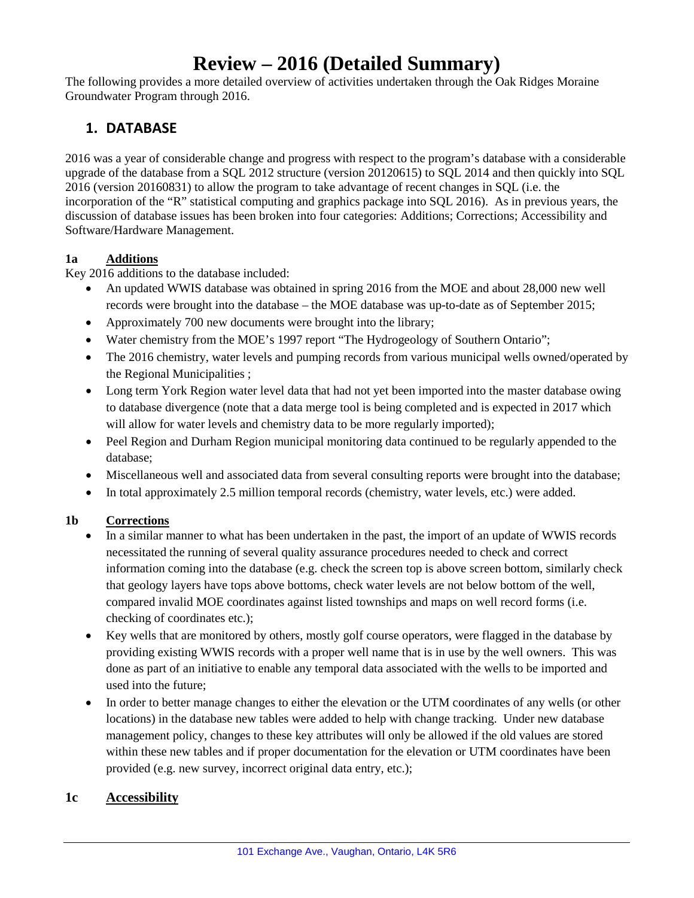# **Review – 2016 (Detailed Summary)**

The following provides a more detailed overview of activities undertaken through the Oak Ridges Moraine Groundwater Program through 2016.

# **1. DATABASE**

2016 was a year of considerable change and progress with respect to the program's database with a considerable upgrade of the database from a SQL 2012 structure (version 20120615) to SQL 2014 and then quickly into SQL 2016 (version 20160831) to allow the program to take advantage of recent changes in SQL (i.e. the incorporation of the "R" statistical computing and graphics package into SQL 2016). As in previous years, the discussion of database issues has been broken into four categories: Additions; Corrections; Accessibility and Software/Hardware Management.

### **1a Additions**

Key 2016 additions to the database included:

- An updated WWIS database was obtained in spring 2016 from the MOE and about 28,000 new well records were brought into the database – the MOE database was up-to-date as of September 2015;
- Approximately 700 new documents were brought into the library;
- Water chemistry from the MOE's 1997 report "The Hydrogeology of Southern Ontario";
- The 2016 chemistry, water levels and pumping records from various municipal wells owned/operated by the Regional Municipalities ;
- Long term York Region water level data that had not yet been imported into the master database owing to database divergence (note that a data merge tool is being completed and is expected in 2017 which will allow for water levels and chemistry data to be more regularly imported);
- Peel Region and Durham Region municipal monitoring data continued to be regularly appended to the database;
- Miscellaneous well and associated data from several consulting reports were brought into the database;
- In total approximately 2.5 million temporal records (chemistry, water levels, etc.) were added.

## **1b Corrections**

- In a similar manner to what has been undertaken in the past, the import of an update of WWIS records necessitated the running of several quality assurance procedures needed to check and correct information coming into the database (e.g. check the screen top is above screen bottom, similarly check that geology layers have tops above bottoms, check water levels are not below bottom of the well, compared invalid MOE coordinates against listed townships and maps on well record forms (i.e. checking of coordinates etc.);
- Key wells that are monitored by others, mostly golf course operators, were flagged in the database by providing existing WWIS records with a proper well name that is in use by the well owners. This was done as part of an initiative to enable any temporal data associated with the wells to be imported and used into the future;
- In order to better manage changes to either the elevation or the UTM coordinates of any wells (or other locations) in the database new tables were added to help with change tracking. Under new database management policy, changes to these key attributes will only be allowed if the old values are stored within these new tables and if proper documentation for the elevation or UTM coordinates have been provided (e.g. new survey, incorrect original data entry, etc.);

## **1c Accessibility**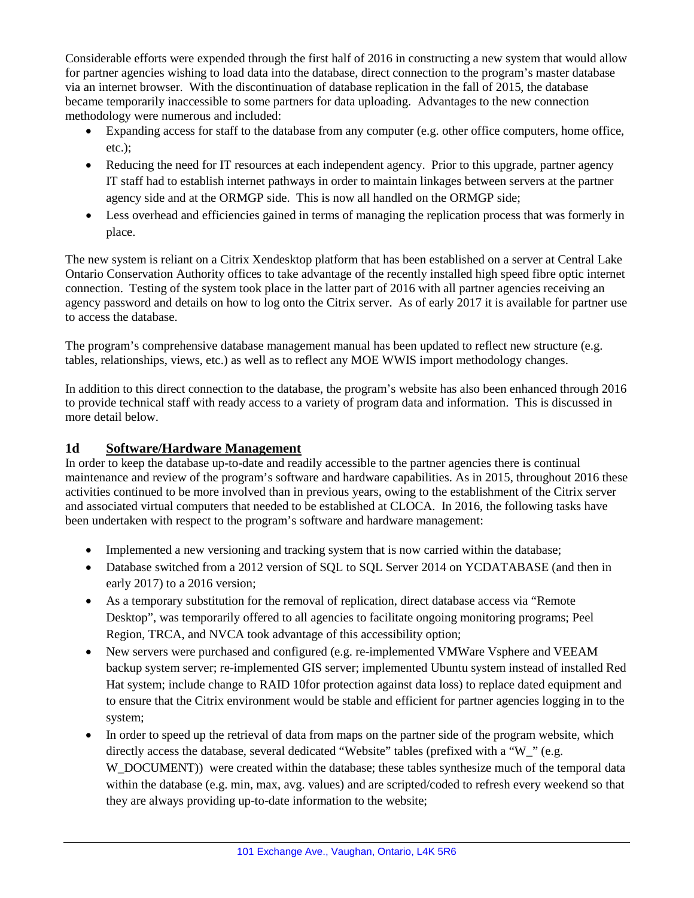Considerable efforts were expended through the first half of 2016 in constructing a new system that would allow for partner agencies wishing to load data into the database, direct connection to the program's master database via an internet browser. With the discontinuation of database replication in the fall of 2015, the database became temporarily inaccessible to some partners for data uploading. Advantages to the new connection methodology were numerous and included:

- Expanding access for staff to the database from any computer (e.g. other office computers, home office, etc.);
- Reducing the need for IT resources at each independent agency. Prior to this upgrade, partner agency IT staff had to establish internet pathways in order to maintain linkages between servers at the partner agency side and at the ORMGP side. This is now all handled on the ORMGP side;
- Less overhead and efficiencies gained in terms of managing the replication process that was formerly in place.

The new system is reliant on a Citrix Xendesktop platform that has been established on a server at Central Lake Ontario Conservation Authority offices to take advantage of the recently installed high speed fibre optic internet connection. Testing of the system took place in the latter part of 2016 with all partner agencies receiving an agency password and details on how to log onto the Citrix server. As of early 2017 it is available for partner use to access the database.

The program's comprehensive database management manual has been updated to reflect new structure (e.g. tables, relationships, views, etc.) as well as to reflect any MOE WWIS import methodology changes.

In addition to this direct connection to the database, the program's website has also been enhanced through 2016 to provide technical staff with ready access to a variety of program data and information. This is discussed in more detail below.

## **1d Software/Hardware Management**

In order to keep the database up-to-date and readily accessible to the partner agencies there is continual maintenance and review of the program's software and hardware capabilities. As in 2015, throughout 2016 these activities continued to be more involved than in previous years, owing to the establishment of the Citrix server and associated virtual computers that needed to be established at CLOCA. In 2016, the following tasks have been undertaken with respect to the program's software and hardware management:

- Implemented a new versioning and tracking system that is now carried within the database;
- Database switched from a 2012 version of SQL to SQL Server 2014 on YCDATABASE (and then in early 2017) to a 2016 version;
- As a temporary substitution for the removal of replication, direct database access via "Remote" Desktop", was temporarily offered to all agencies to facilitate ongoing monitoring programs; Peel Region, TRCA, and NVCA took advantage of this accessibility option;
- New servers were purchased and configured (e.g. re-implemented VMWare Vsphere and VEEAM backup system server; re-implemented GIS server; implemented Ubuntu system instead of installed Red Hat system; include change to RAID 10for protection against data loss) to replace dated equipment and to ensure that the Citrix environment would be stable and efficient for partner agencies logging in to the system;
- In order to speed up the retrieval of data from maps on the partner side of the program website, which directly access the database, several dedicated "Website" tables (prefixed with a "W" (e.g. W\_DOCUMENT)) were created within the database; these tables synthesize much of the temporal data within the database (e.g. min, max, avg. values) and are scripted/coded to refresh every weekend so that they are always providing up-to-date information to the website;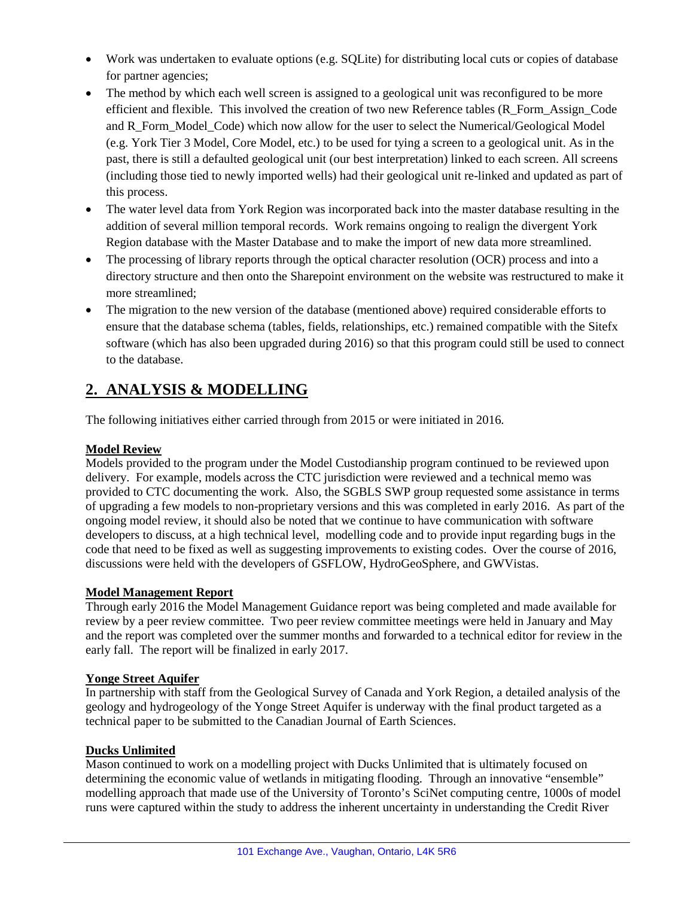- Work was undertaken to evaluate options (e.g. SQLite) for distributing local cuts or copies of database for partner agencies;
- The method by which each well screen is assigned to a geological unit was reconfigured to be more efficient and flexible. This involved the creation of two new Reference tables (R\_Form\_Assign\_Code and R\_Form\_Model\_Code) which now allow for the user to select the Numerical/Geological Model (e.g. York Tier 3 Model, Core Model, etc.) to be used for tying a screen to a geological unit. As in the past, there is still a defaulted geological unit (our best interpretation) linked to each screen. All screens (including those tied to newly imported wells) had their geological unit re-linked and updated as part of this process.
- The water level data from York Region was incorporated back into the master database resulting in the addition of several million temporal records. Work remains ongoing to realign the divergent York Region database with the Master Database and to make the import of new data more streamlined.
- The processing of library reports through the optical character resolution (OCR) process and into a directory structure and then onto the Sharepoint environment on the website was restructured to make it more streamlined;
- The migration to the new version of the database (mentioned above) required considerable efforts to ensure that the database schema (tables, fields, relationships, etc.) remained compatible with the Sitefx software (which has also been upgraded during 2016) so that this program could still be used to connect to the database.

# **2. ANALYSIS & MODELLING**

The following initiatives either carried through from 2015 or were initiated in 2016.

## **Model Review**

Models provided to the program under the Model Custodianship program continued to be reviewed upon delivery. For example, models across the CTC jurisdiction were reviewed and a technical memo was provided to CTC documenting the work. Also, the SGBLS SWP group requested some assistance in terms of upgrading a few models to non-proprietary versions and this was completed in early 2016. As part of the ongoing model review, it should also be noted that we continue to have communication with software developers to discuss, at a high technical level, modelling code and to provide input regarding bugs in the code that need to be fixed as well as suggesting improvements to existing codes. Over the course of 2016, discussions were held with the developers of GSFLOW, HydroGeoSphere, and GWVistas.

#### **Model Management Report**

Through early 2016 the Model Management Guidance report was being completed and made available for review by a peer review committee. Two peer review committee meetings were held in January and May and the report was completed over the summer months and forwarded to a technical editor for review in the early fall. The report will be finalized in early 2017.

#### **Yonge Street Aquifer**

In partnership with staff from the Geological Survey of Canada and York Region, a detailed analysis of the geology and hydrogeology of the Yonge Street Aquifer is underway with the final product targeted as a technical paper to be submitted to the Canadian Journal of Earth Sciences.

#### **Ducks Unlimited**

Mason continued to work on a modelling project with Ducks Unlimited that is ultimately focused on determining the economic value of wetlands in mitigating flooding. Through an innovative "ensemble" modelling approach that made use of the University of Toronto's SciNet computing centre, 1000s of model runs were captured within the study to address the inherent uncertainty in understanding the Credit River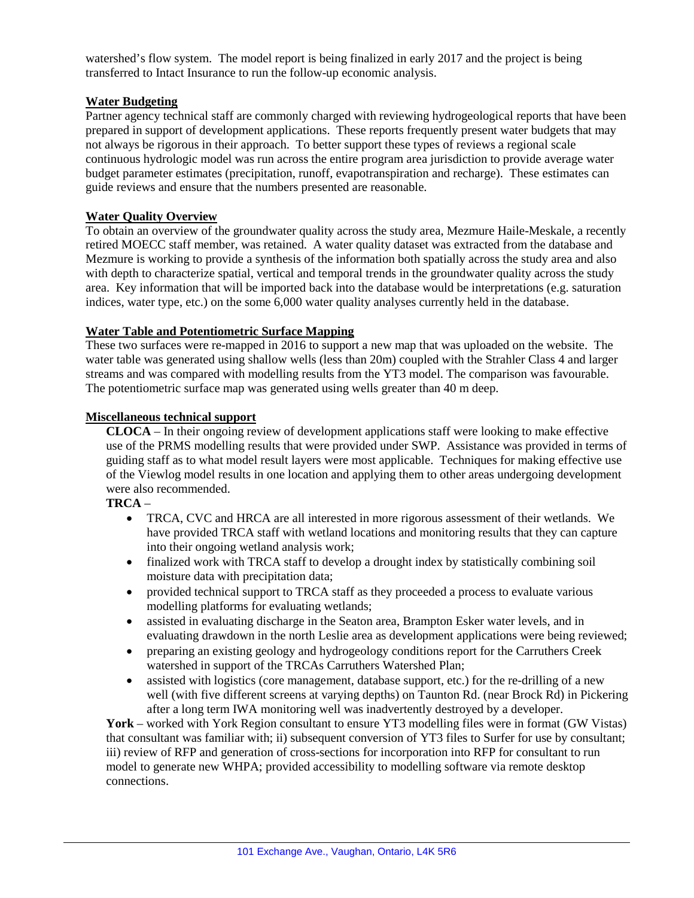watershed's flow system. The model report is being finalized in early 2017 and the project is being transferred to Intact Insurance to run the follow-up economic analysis.

#### **Water Budgeting**

Partner agency technical staff are commonly charged with reviewing hydrogeological reports that have been prepared in support of development applications. These reports frequently present water budgets that may not always be rigorous in their approach. To better support these types of reviews a regional scale continuous hydrologic model was run across the entire program area jurisdiction to provide average water budget parameter estimates (precipitation, runoff, evapotranspiration and recharge). These estimates can guide reviews and ensure that the numbers presented are reasonable.

#### **Water Quality Overview**

To obtain an overview of the groundwater quality across the study area, Mezmure Haile-Meskale, a recently retired MOECC staff member, was retained. A water quality dataset was extracted from the database and Mezmure is working to provide a synthesis of the information both spatially across the study area and also with depth to characterize spatial, vertical and temporal trends in the groundwater quality across the study area. Key information that will be imported back into the database would be interpretations (e.g. saturation indices, water type, etc.) on the some 6,000 water quality analyses currently held in the database.

#### **Water Table and Potentiometric Surface Mapping**

These two surfaces were re-mapped in 2016 to support a new map that was uploaded on the website. The water table was generated using shallow wells (less than 20m) coupled with the Strahler Class 4 and larger streams and was compared with modelling results from the YT3 model. The comparison was favourable. The potentiometric surface map was generated using wells greater than 40 m deep.

#### **Miscellaneous technical support**

**CLOCA** – In their ongoing review of development applications staff were looking to make effective use of the PRMS modelling results that were provided under SWP. Assistance was provided in terms of guiding staff as to what model result layers were most applicable. Techniques for making effective use of the Viewlog model results in one location and applying them to other areas undergoing development were also recommended.

#### **TRCA** –

- TRCA, CVC and HRCA are all interested in more rigorous assessment of their wetlands. We have provided TRCA staff with wetland locations and monitoring results that they can capture into their ongoing wetland analysis work;
- finalized work with TRCA staff to develop a drought index by statistically combining soil moisture data with precipitation data;
- provided technical support to TRCA staff as they proceeded a process to evaluate various modelling platforms for evaluating wetlands;
- assisted in evaluating discharge in the Seaton area, Brampton Esker water levels, and in evaluating drawdown in the north Leslie area as development applications were being reviewed;
- preparing an existing geology and hydrogeology conditions report for the Carruthers Creek watershed in support of the TRCAs Carruthers Watershed Plan;
- assisted with logistics (core management, database support, etc.) for the re-drilling of a new well (with five different screens at varying depths) on Taunton Rd. (near Brock Rd) in Pickering after a long term IWA monitoring well was inadvertently destroyed by a developer.

**York** – worked with York Region consultant to ensure YT3 modelling files were in format (GW Vistas) that consultant was familiar with; ii) subsequent conversion of YT3 files to Surfer for use by consultant; iii) review of RFP and generation of cross-sections for incorporation into RFP for consultant to run model to generate new WHPA; provided accessibility to modelling software via remote desktop connections.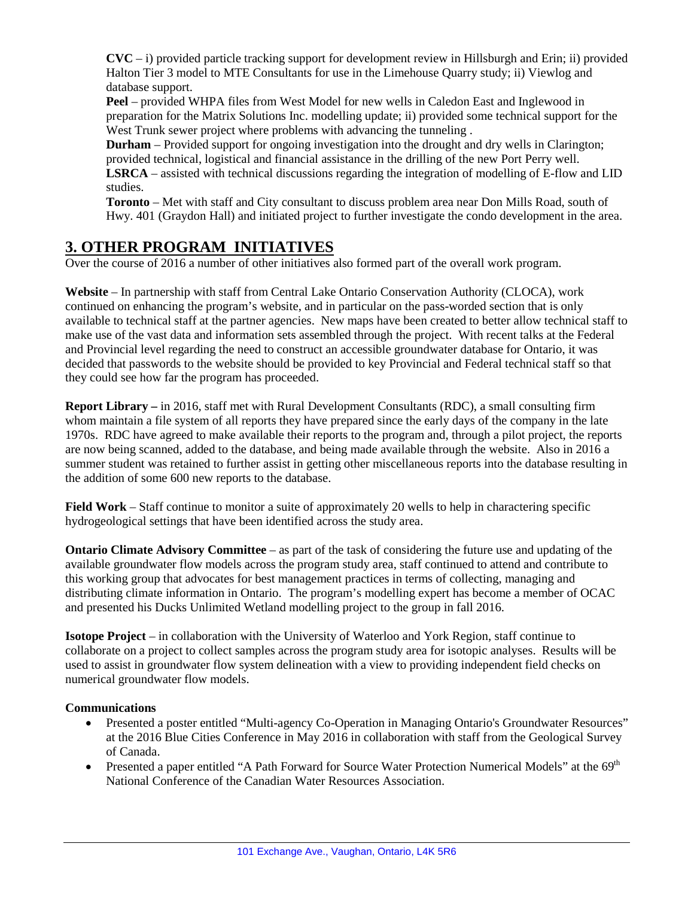**CVC** – i) provided particle tracking support for development review in Hillsburgh and Erin; ii) provided Halton Tier 3 model to MTE Consultants for use in the Limehouse Quarry study; ii) Viewlog and database support.

**Peel** – provided WHPA files from West Model for new wells in Caledon East and Inglewood in preparation for the Matrix Solutions Inc. modelling update; ii) provided some technical support for the West Trunk sewer project where problems with advancing the tunneling .

**Durham** – Provided support for ongoing investigation into the drought and dry wells in Clarington; provided technical, logistical and financial assistance in the drilling of the new Port Perry well. **LSRCA** – assisted with technical discussions regarding the integration of modelling of E-flow and LID studies.

**Toronto** – Met with staff and City consultant to discuss problem area near Don Mills Road, south of Hwy. 401 (Graydon Hall) and initiated project to further investigate the condo development in the area.

# **3. OTHER PROGRAM INITIATIVES**

Over the course of 2016 a number of other initiatives also formed part of the overall work program.

**Website** – In partnership with staff from Central Lake Ontario Conservation Authority (CLOCA), work continued on enhancing the program's website, and in particular on the pass-worded section that is only available to technical staff at the partner agencies. New maps have been created to better allow technical staff to make use of the vast data and information sets assembled through the project. With recent talks at the Federal and Provincial level regarding the need to construct an accessible groundwater database for Ontario, it was decided that passwords to the website should be provided to key Provincial and Federal technical staff so that they could see how far the program has proceeded.

**Report Library –** in 2016, staff met with Rural Development Consultants (RDC), a small consulting firm whom maintain a file system of all reports they have prepared since the early days of the company in the late 1970s. RDC have agreed to make available their reports to the program and, through a pilot project, the reports are now being scanned, added to the database, and being made available through the website. Also in 2016 a summer student was retained to further assist in getting other miscellaneous reports into the database resulting in the addition of some 600 new reports to the database.

**Field Work** – Staff continue to monitor a suite of approximately 20 wells to help in charactering specific hydrogeological settings that have been identified across the study area.

**Ontario Climate Advisory Committee** – as part of the task of considering the future use and updating of the available groundwater flow models across the program study area, staff continued to attend and contribute to this working group that advocates for best management practices in terms of collecting, managing and distributing climate information in Ontario. The program's modelling expert has become a member of OCAC and presented his Ducks Unlimited Wetland modelling project to the group in fall 2016.

**Isotope Project** – in collaboration with the University of Waterloo and York Region, staff continue to collaborate on a project to collect samples across the program study area for isotopic analyses. Results will be used to assist in groundwater flow system delineation with a view to providing independent field checks on numerical groundwater flow models.

#### **Communications**

- Presented a poster entitled "Multi-agency Co-Operation in Managing Ontario's Groundwater Resources" at the 2016 Blue Cities Conference in May 2016 in collaboration with staff from the Geological Survey of Canada.
- Presented a paper entitled "A Path Forward for Source Water Protection Numerical Models" at the  $69<sup>th</sup>$ National Conference of the Canadian Water Resources Association.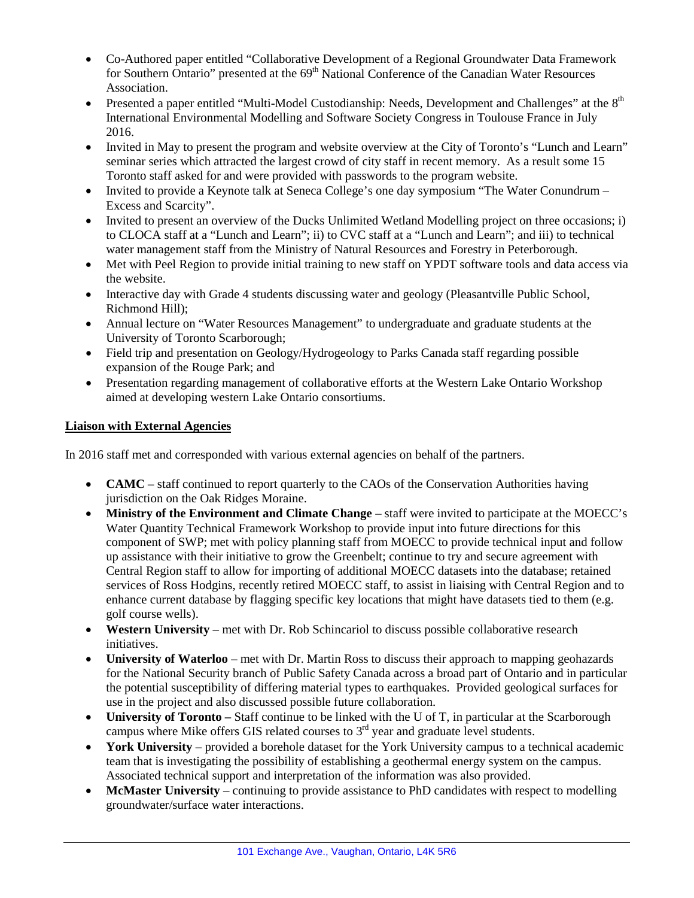- Co-Authored paper entitled "Collaborative Development of a Regional Groundwater Data Framework for Southern Ontario" presented at the 69<sup>th</sup> National Conference of the Canadian Water Resources Association.
- Presented a paper entitled "Multi-Model Custodianship: Needs, Development and Challenges" at the  $8<sup>th</sup>$ International Environmental Modelling and Software Society Congress in Toulouse France in July 2016.
- Invited in May to present the program and website overview at the City of Toronto's "Lunch and Learn" seminar series which attracted the largest crowd of city staff in recent memory. As a result some 15 Toronto staff asked for and were provided with passwords to the program website.
- Invited to provide a Keynote talk at Seneca College's one day symposium "The Water Conundrum Excess and Scarcity".
- Invited to present an overview of the Ducks Unlimited Wetland Modelling project on three occasions; i) to CLOCA staff at a "Lunch and Learn"; ii) to CVC staff at a "Lunch and Learn"; and iii) to technical water management staff from the Ministry of Natural Resources and Forestry in Peterborough.
- Met with Peel Region to provide initial training to new staff on YPDT software tools and data access via the website.
- Interactive day with Grade 4 students discussing water and geology (Pleasantville Public School, Richmond Hill);
- Annual lecture on "Water Resources Management" to undergraduate and graduate students at the University of Toronto Scarborough;
- Field trip and presentation on Geology/Hydrogeology to Parks Canada staff regarding possible expansion of the Rouge Park; and
- Presentation regarding management of collaborative efforts at the Western Lake Ontario Workshop aimed at developing western Lake Ontario consortiums.

### **Liaison with External Agencies**

In 2016 staff met and corresponded with various external agencies on behalf of the partners.

- **CAMC** staff continued to report quarterly to the CAOs of the Conservation Authorities having jurisdiction on the Oak Ridges Moraine.
- **Ministry of the Environment and Climate Change** staff were invited to participate at the MOECC's Water Quantity Technical Framework Workshop to provide input into future directions for this component of SWP; met with policy planning staff from MOECC to provide technical input and follow up assistance with their initiative to grow the Greenbelt; continue to try and secure agreement with Central Region staff to allow for importing of additional MOECC datasets into the database; retained services of Ross Hodgins, recently retired MOECC staff, to assist in liaising with Central Region and to enhance current database by flagging specific key locations that might have datasets tied to them (e.g. golf course wells).
- **Western University** met with Dr. Rob Schincariol to discuss possible collaborative research initiatives.
- **University of Waterloo**  met with Dr. Martin Ross to discuss their approach to mapping geohazards for the National Security branch of Public Safety Canada across a broad part of Ontario and in particular the potential susceptibility of differing material types to earthquakes. Provided geological surfaces for use in the project and also discussed possible future collaboration.
- **University of Toronto** Staff continue to be linked with the U of T, in particular at the Scarborough campus where Mike offers GIS related courses to 3<sup>rd</sup> year and graduate level students.
- **York University** provided a borehole dataset for the York University campus to a technical academic team that is investigating the possibility of establishing a geothermal energy system on the campus. Associated technical support and interpretation of the information was also provided.
- **McMaster University** continuing to provide assistance to PhD candidates with respect to modelling groundwater/surface water interactions.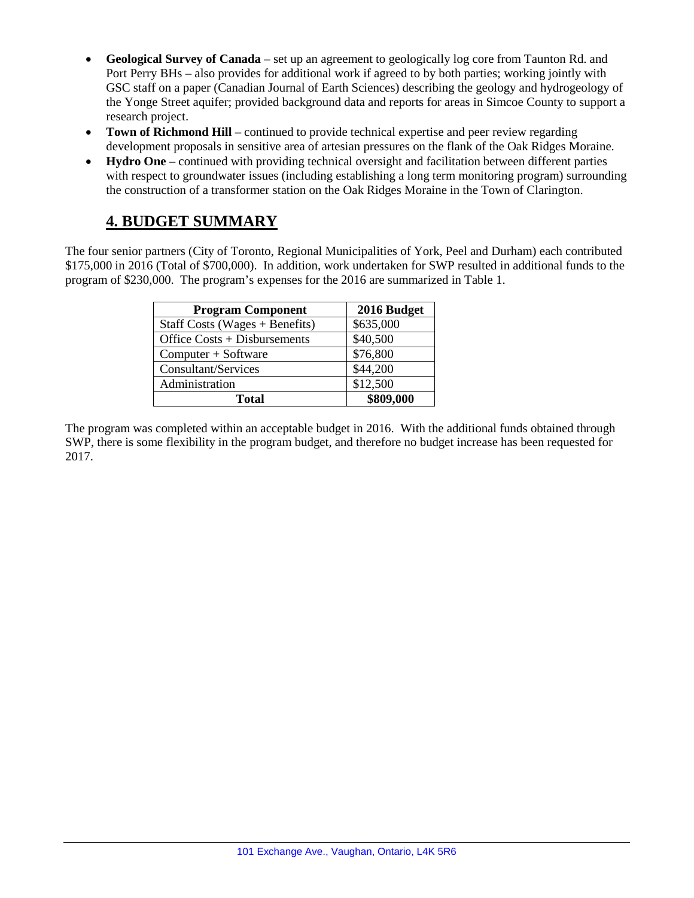- **Geological Survey of Canada** set up an agreement to geologically log core from Taunton Rd. and Port Perry BHs – also provides for additional work if agreed to by both parties; working jointly with GSC staff on a paper (Canadian Journal of Earth Sciences) describing the geology and hydrogeology of the Yonge Street aquifer; provided background data and reports for areas in Simcoe County to support a research project.
- **Town of Richmond Hill** continued to provide technical expertise and peer review regarding development proposals in sensitive area of artesian pressures on the flank of the Oak Ridges Moraine.
- **Hydro One** continued with providing technical oversight and facilitation between different parties with respect to groundwater issues (including establishing a long term monitoring program) surrounding the construction of a transformer station on the Oak Ridges Moraine in the Town of Clarington.

# **4. BUDGET SUMMARY**

The four senior partners (City of Toronto, Regional Municipalities of York, Peel and Durham) each contributed \$175,000 in 2016 (Total of \$700,000). In addition, work undertaken for SWP resulted in additional funds to the program of \$230,000. The program's expenses for the 2016 are summarized in Table 1.

| <b>Program Component</b>         | 2016 Budget |
|----------------------------------|-------------|
| Staff Costs (Wages $+$ Benefits) | \$635,000   |
| Office Costs + Disbursements     | \$40,500    |
| Computer + Software              | \$76,800    |
| Consultant/Services              | \$44,200    |
| Administration                   | \$12,500    |
| <b>Total</b>                     | \$809,000   |

The program was completed within an acceptable budget in 2016. With the additional funds obtained through SWP, there is some flexibility in the program budget, and therefore no budget increase has been requested for 2017.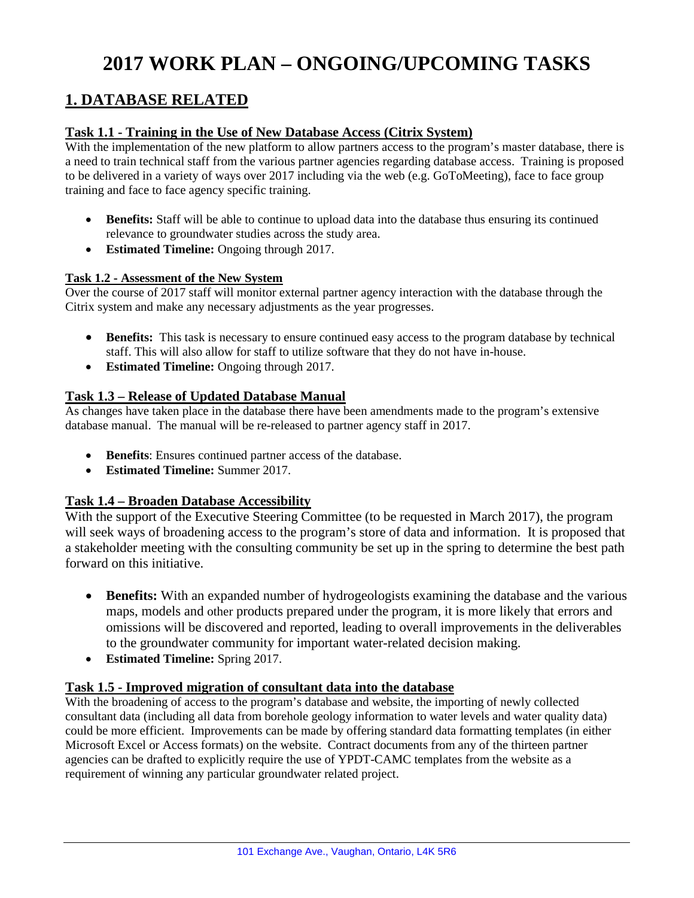# **2017 WORK PLAN – ONGOING/UPCOMING TASKS**

# **1. DATABASE RELATED**

#### **Task 1.1 - Training in the Use of New Database Access (Citrix System)**

With the implementation of the new platform to allow partners access to the program's master database, there is a need to train technical staff from the various partner agencies regarding database access. Training is proposed to be delivered in a variety of ways over 2017 including via the web (e.g. GoToMeeting), face to face group training and face to face agency specific training.

- **Benefits:** Staff will be able to continue to upload data into the database thus ensuring its continued relevance to groundwater studies across the study area.
- **Estimated Timeline:** Ongoing through 2017.

#### **Task 1.2 - Assessment of the New System**

Over the course of 2017 staff will monitor external partner agency interaction with the database through the Citrix system and make any necessary adjustments as the year progresses.

- **Benefits:** This task is necessary to ensure continued easy access to the program database by technical staff. This will also allow for staff to utilize software that they do not have in-house.
- **Estimated Timeline:** Ongoing through 2017.

#### **Task 1.3 – Release of Updated Database Manual**

As changes have taken place in the database there have been amendments made to the program's extensive database manual. The manual will be re-released to partner agency staff in 2017.

- **Benefits**: Ensures continued partner access of the database.
- **Estimated Timeline:** Summer 2017.

#### **Task 1.4 – Broaden Database Accessibility**

With the support of the Executive Steering Committee (to be requested in March 2017), the program will seek ways of broadening access to the program's store of data and information. It is proposed that a stakeholder meeting with the consulting community be set up in the spring to determine the best path forward on this initiative.

- **Benefits:** With an expanded number of hydrogeologists examining the database and the various maps, models and other products prepared under the program, it is more likely that errors and omissions will be discovered and reported, leading to overall improvements in the deliverables to the groundwater community for important water-related decision making.
- **Estimated Timeline:** Spring 2017.

#### **Task 1.5 - Improved migration of consultant data into the database**

With the broadening of access to the program's database and website, the importing of newly collected consultant data (including all data from borehole geology information to water levels and water quality data) could be more efficient. Improvements can be made by offering standard data formatting templates (in either Microsoft Excel or Access formats) on the website. Contract documents from any of the thirteen partner agencies can be drafted to explicitly require the use of YPDT-CAMC templates from the website as a requirement of winning any particular groundwater related project.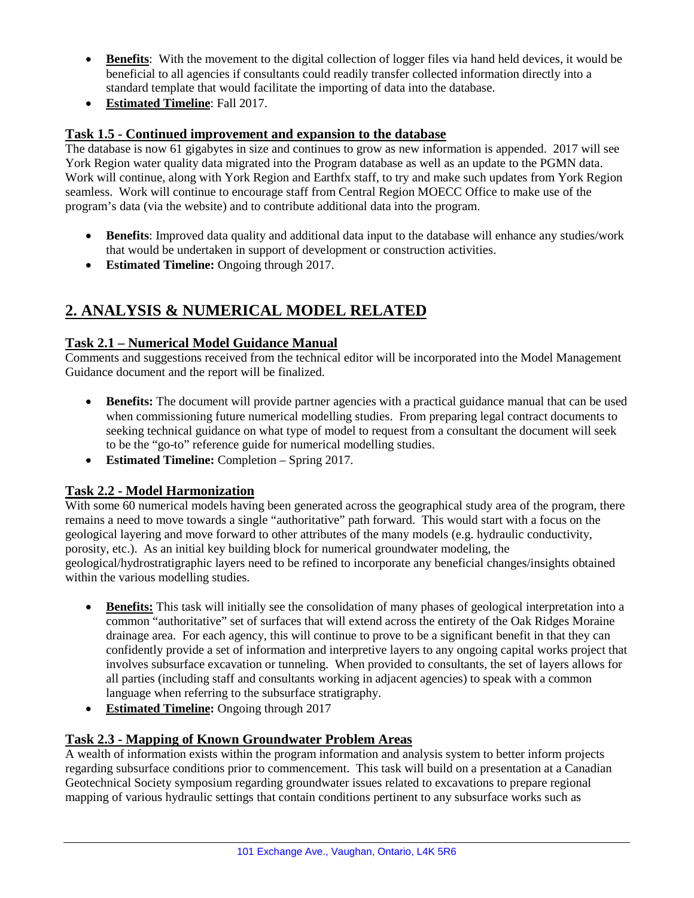- **Benefits**: With the movement to the digital collection of logger files via hand held devices, it would be beneficial to all agencies if consultants could readily transfer collected information directly into a standard template that would facilitate the importing of data into the database.
- **Estimated Timeline**: Fall 2017.

## **Task 1.5 - Continued improvement and expansion to the database**

The database is now 61 gigabytes in size and continues to grow as new information is appended. 2017 will see York Region water quality data migrated into the Program database as well as an update to the PGMN data. Work will continue, along with York Region and Earthfx staff, to try and make such updates from York Region seamless. Work will continue to encourage staff from Central Region MOECC Office to make use of the program's data (via the website) and to contribute additional data into the program.

- **Benefits**: Improved data quality and additional data input to the database will enhance any studies/work that would be undertaken in support of development or construction activities.
- **Estimated Timeline:** Ongoing through 2017.

# **2. ANALYSIS & NUMERICAL MODEL RELATED**

## **Task 2.1 – Numerical Model Guidance Manual**

Comments and suggestions received from the technical editor will be incorporated into the Model Management Guidance document and the report will be finalized.

- **Benefits:** The document will provide partner agencies with a practical guidance manual that can be used when commissioning future numerical modelling studies. From preparing legal contract documents to seeking technical guidance on what type of model to request from a consultant the document will seek to be the "go-to" reference guide for numerical modelling studies.
- **Estimated Timeline:** Completion Spring 2017.

## **Task 2.2 - Model Harmonization**

With some 60 numerical models having been generated across the geographical study area of the program, there remains a need to move towards a single "authoritative" path forward. This would start with a focus on the geological layering and move forward to other attributes of the many models (e.g. hydraulic conductivity, porosity, etc.). As an initial key building block for numerical groundwater modeling, the geological/hydrostratigraphic layers need to be refined to incorporate any beneficial changes/insights obtained within the various modelling studies.

- **Benefits:** This task will initially see the consolidation of many phases of geological interpretation into a common "authoritative" set of surfaces that will extend across the entirety of the Oak Ridges Moraine drainage area. For each agency, this will continue to prove to be a significant benefit in that they can confidently provide a set of information and interpretive layers to any ongoing capital works project that involves subsurface excavation or tunneling. When provided to consultants, the set of layers allows for all parties (including staff and consultants working in adjacent agencies) to speak with a common language when referring to the subsurface stratigraphy.
- **Estimated Timeline:** Ongoing through 2017

## **Task 2.3 - Mapping of Known Groundwater Problem Areas**

A wealth of information exists within the program information and analysis system to better inform projects regarding subsurface conditions prior to commencement. This task will build on a presentation at a Canadian Geotechnical Society symposium regarding groundwater issues related to excavations to prepare regional mapping of various hydraulic settings that contain conditions pertinent to any subsurface works such as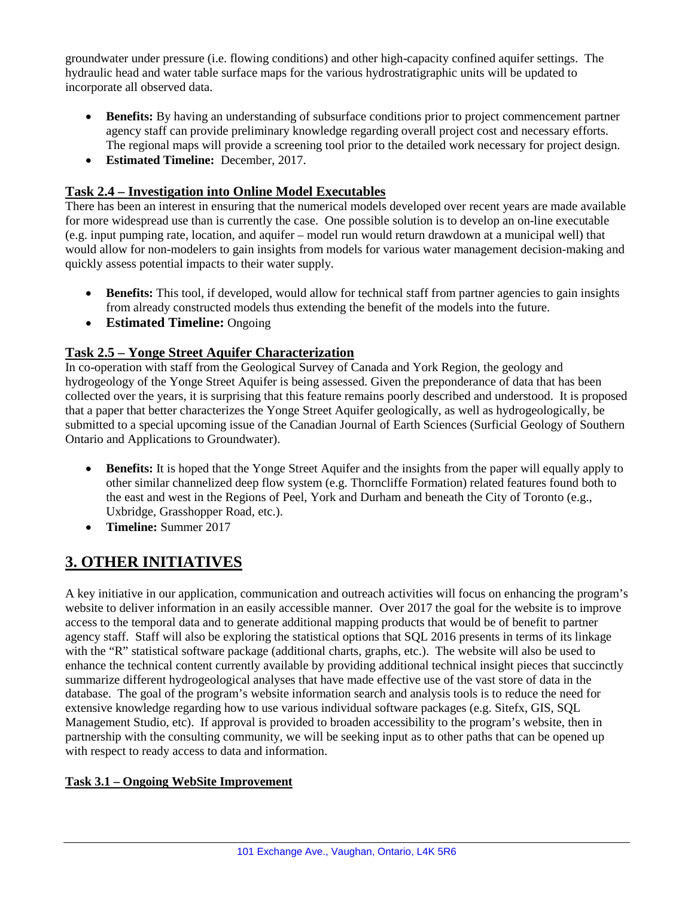groundwater under pressure (i.e. flowing conditions) and other high-capacity confined aquifer settings. The hydraulic head and water table surface maps for the various hydrostratigraphic units will be updated to incorporate all observed data.

- **Benefits:** By having an understanding of subsurface conditions prior to project commencement partner agency staff can provide preliminary knowledge regarding overall project cost and necessary efforts. The regional maps will provide a screening tool prior to the detailed work necessary for project design.
- **Estimated Timeline:** December, 2017.

## **Task 2.4 – Investigation into Online Model Executables**

There has been an interest in ensuring that the numerical models developed over recent years are made available for more widespread use than is currently the case. One possible solution is to develop an on-line executable (e.g. input pumping rate, location, and aquifer – model run would return drawdown at a municipal well) that would allow for non-modelers to gain insights from models for various water management decision-making and quickly assess potential impacts to their water supply.

- **Benefits:** This tool, if developed, would allow for technical staff from partner agencies to gain insights from already constructed models thus extending the benefit of the models into the future.
- **Estimated Timeline:** Ongoing

### **Task 2.5 – Yonge Street Aquifer Characterization**

In co-operation with staff from the Geological Survey of Canada and York Region, the geology and hydrogeology of the Yonge Street Aquifer is being assessed. Given the preponderance of data that has been collected over the years, it is surprising that this feature remains poorly described and understood. It is proposed that a paper that better characterizes the Yonge Street Aquifer geologically, as well as hydrogeologically, be submitted to a special upcoming issue of the Canadian Journal of Earth Sciences (Surficial Geology of Southern Ontario and Applications to Groundwater).

- **Benefits:** It is hoped that the Yonge Street Aquifer and the insights from the paper will equally apply to other similar channelized deep flow system (e.g. Thorncliffe Formation) related features found both to the east and west in the Regions of Peel, York and Durham and beneath the City of Toronto (e.g., Uxbridge, Grasshopper Road, etc.).
- **Timeline:** Summer 2017

# **3. OTHER INITIATIVES**

A key initiative in our application, communication and outreach activities will focus on enhancing the program's website to deliver information in an easily accessible manner. Over 2017 the goal for the website is to improve access to the temporal data and to generate additional mapping products that would be of benefit to partner agency staff. Staff will also be exploring the statistical options that SQL 2016 presents in terms of its linkage with the "R" statistical software package (additional charts, graphs, etc.). The website will also be used to enhance the technical content currently available by providing additional technical insight pieces that succinctly summarize different hydrogeological analyses that have made effective use of the vast store of data in the database. The goal of the program's website information search and analysis tools is to reduce the need for extensive knowledge regarding how to use various individual software packages (e.g. Sitefx, GIS, SQL Management Studio, etc). If approval is provided to broaden accessibility to the program's website, then in partnership with the consulting community, we will be seeking input as to other paths that can be opened up with respect to ready access to data and information.

#### **Task 3.1 – Ongoing WebSite Improvement**